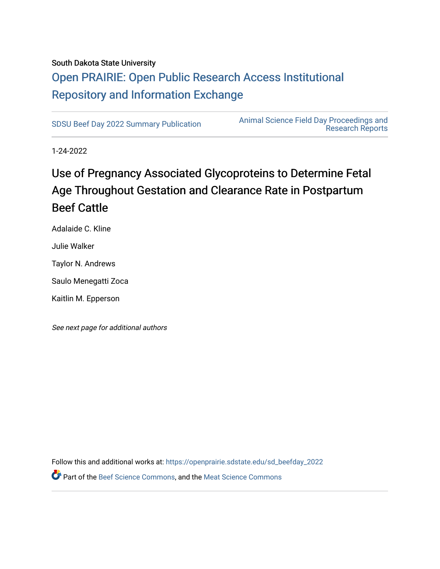#### South Dakota State University

# [Open PRAIRIE: Open Public Research Access Institutional](https://openprairie.sdstate.edu/)  [Repository and Information Exchange](https://openprairie.sdstate.edu/)

[SDSU Beef Day 2022 Summary Publication](https://openprairie.sdstate.edu/sd_beefday_2022) [Animal Science Field Day Proceedings and](https://openprairie.sdstate.edu/ans_reports)  [Research Reports](https://openprairie.sdstate.edu/ans_reports) 

1-24-2022

# Use of Pregnancy Associated Glycoproteins to Determine Fetal Age Throughout Gestation and Clearance Rate in Postpartum Beef Cattle

Adalaide C. Kline

Julie Walker

Taylor N. Andrews

Saulo Menegatti Zoca

Kaitlin M. Epperson

See next page for additional authors

Follow this and additional works at: [https://openprairie.sdstate.edu/sd\\_beefday\\_2022](https://openprairie.sdstate.edu/sd_beefday_2022?utm_source=openprairie.sdstate.edu%2Fsd_beefday_2022%2F13&utm_medium=PDF&utm_campaign=PDFCoverPages)  **P** Part of the [Beef Science Commons,](http://network.bepress.com/hgg/discipline/1404?utm_source=openprairie.sdstate.edu%2Fsd_beefday_2022%2F13&utm_medium=PDF&utm_campaign=PDFCoverPages) and the [Meat Science Commons](http://network.bepress.com/hgg/discipline/1301?utm_source=openprairie.sdstate.edu%2Fsd_beefday_2022%2F13&utm_medium=PDF&utm_campaign=PDFCoverPages)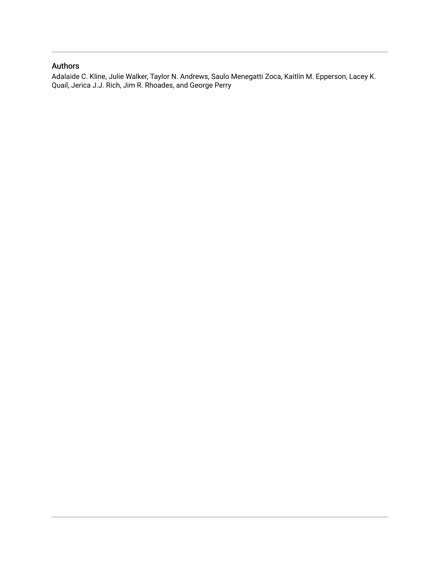#### Authors

Adalaide C. Kline, Julie Walker, Taylor N. Andrews, Saulo Menegatti Zoca, Kaitlin M. Epperson, Lacey K. Quail, Jerica J.J. Rich, Jim R. Rhoades, and George Perry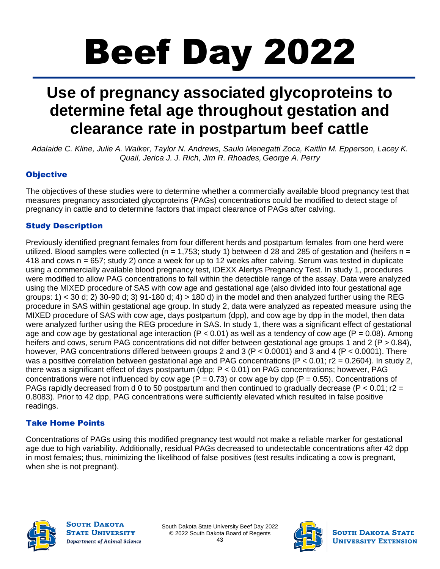# Beef Day 2022

# **Use of pregnancy associated glycoproteins to determine fetal age throughout gestation and clearance rate in postpartum beef cattle**

Adalaide C. Kline, Julie A. Walker, Taylor N. Andrews, Saulo Menegatti Zoca, Kaitlin M. Epperson, Lacey K. *Quail, Jerica J. J. Rich, Jim R. Rhoades, George A. Perry*

#### **Objective**

The objectives of these studies were to determine whether a commercially available blood pregnancy test that measures pregnancy associated glycoproteins (PAGs) concentrations could be modified to detect stage of pregnancy in cattle and to determine factors that impact clearance of PAGs after calving.

#### Study Description

Previously identified pregnant females from four different herds and postpartum females from one herd were utilized. Blood samples were collected ( $n = 1.753$ ; study 1) between d 28 and 285 of gestation and (heifers  $n =$ 418 and cows n = 657; study 2) once a week for up to 12 weeks after calving. Serum was tested in duplicate using a commercially available blood pregnancy test, IDEXX Alertys Pregnancy Test. In study 1, procedures were modified to allow PAG concentrations to fall within the detectible range of the assay. Data were analyzed using the MIXED procedure of SAS with cow age and gestational age (also divided into four gestational age groups: 1) < 30 d; 2) 30-90 d; 3) 91-180 d; 4) > 180 d) in the model and then analyzed further using the REG procedure in SAS within gestational age group. In study 2, data were analyzed as repeated measure using the MIXED procedure of SAS with cow age, days postpartum (dpp), and cow age by dpp in the model, then data were analyzed further using the REG procedure in SAS. In study 1, there was a significant effect of gestational age and cow age by gestational age interaction (P < 0.01) as well as a tendency of cow age (P =  $0.08$ ). Among heifers and cows, serum PAG concentrations did not differ between gestational age groups 1 and 2 (P > 0.84), however, PAG concentrations differed between groups 2 and 3 (P < 0.0001) and 3 and 4 (P < 0.0001). There was a positive correlation between gestational age and PAG concentrations (P < 0.01; r2 = 0.2604). In study 2, there was a significant effect of days postpartum (dpp; P < 0.01) on PAG concentrations; however, PAG concentrations were not influenced by cow age ( $P = 0.73$ ) or cow age by dpp ( $P = 0.55$ ). Concentrations of PAGs rapidly decreased from d 0 to 50 postpartum and then continued to gradually decrease (P  $<$  0.01; r2 = 0.8083). Prior to 42 dpp, PAG concentrations were sufficiently elevated which resulted in false positive readings.

#### Take Home Points

Concentrations of PAGs using this modified pregnancy test would not make a reliable marker for gestational age due to high variability. Additionally, residual PAGs decreased to undetectable concentrations after 42 dpp in most females; thus, minimizing the likelihood of false positives (test results indicating a cow is pregnant, when she is not pregnant).



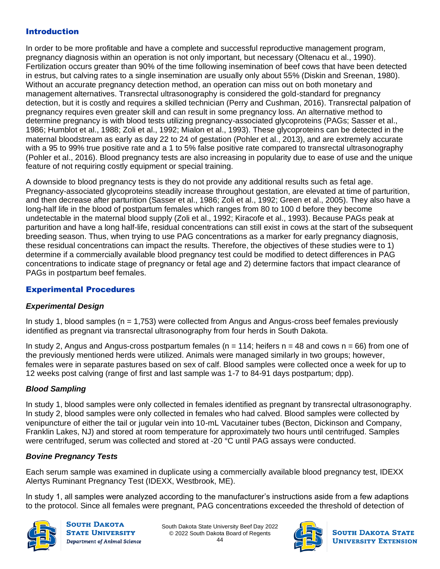#### Introduction

In order to be more profitable and have a complete and successful reproductive management program, pregnancy diagnosis within an operation is not only important, but necessary (Oltenacu et al., 1990). Fertilization occurs greater than 90% of the time following insemination of beef cows that have been detected in estrus, but calving rates to a single insemination are usually only about 55% (Diskin and Sreenan, 1980). Without an accurate pregnancy detection method, an operation can miss out on both monetary and management alternatives. Transrectal ultrasonography is considered the gold-standard for pregnancy detection, but it is costly and requires a skilled technician (Perry and Cushman, 2016). Transrectal palpation of pregnancy requires even greater skill and can result in some pregnancy loss. An alternative method to determine pregnancy is with blood tests utilizing pregnancy-associated glycoproteins (PAGs; Sasser et al., 1986; Humblot et al., 1988; Zoli et al., 1992; Mialon et al., 1993). These glycoproteins can be detected in the maternal bloodstream as early as day 22 to 24 of gestation (Pohler et al., 2013), and are extremely accurate with a 95 to 99% true positive rate and a 1 to 5% false positive rate compared to transrectal ultrasonography (Pohler et al., 2016). Blood pregnancy tests are also increasing in popularity due to ease of use and the unique feature of not requiring costly equipment or special training.

A downside to blood pregnancy tests is they do not provide any additional results such as fetal age. Pregnancy-associated glycoproteins steadily increase throughout gestation, are elevated at time of parturition, and then decrease after parturition (Sasser et al., 1986; Zoli et al., 1992; Green et al., 2005). They also have a long-half life in the blood of postpartum females which ranges from 80 to 100 d before they become undetectable in the maternal blood supply (Zoli et al., 1992; Kiracofe et al., 1993). Because PAGs peak at parturition and have a long half-life, residual concentrations can still exist in cows at the start of the subsequent breeding season. Thus, when trying to use PAG concentrations as a marker for early pregnancy diagnosis, these residual concentrations can impact the results. Therefore, the objectives of these studies were to 1) determine if a commercially available blood pregnancy test could be modified to detect differences in PAG concentrations to indicate stage of pregnancy or fetal age and 2) determine factors that impact clearance of PAGs in postpartum beef females.

#### Experimental Procedures

#### *Experimental Design*

In study 1, blood samples (n = 1,753) were collected from Angus and Angus-cross beef females previously identified as pregnant via transrectal ultrasonography from four herds in South Dakota.

In study 2, Angus and Angus-cross postpartum females ( $n = 114$ ; heifers  $n = 48$  and cows  $n = 66$ ) from one of the previously mentioned herds were utilized. Animals were managed similarly in two groups; however, females were in separate pastures based on sex of calf. Blood samples were collected once a week for up to 12 weeks post calving (range of first and last sample was 1-7 to 84-91 days postpartum; dpp).

#### *Blood Sampling*

In study 1, blood samples were only collected in females identified as pregnant by transrectal ultrasonography. In study 2, blood samples were only collected in females who had calved. Blood samples were collected by venipuncture of either the tail or jugular vein into 10-mL Vacutainer tubes (Becton, Dickinson and Company, Franklin Lakes, NJ) and stored at room temperature for approximately two hours until centrifuged. Samples were centrifuged, serum was collected and stored at -20 °C until PAG assays were conducted.

#### *Bovine Pregnancy Tests*

Each serum sample was examined in duplicate using a commercially available blood pregnancy test, IDEXX Alertys Ruminant Pregnancy Test (IDEXX, Westbrook, ME).

In study 1, all samples were analyzed according to the manufacturer's instructions aside from a few adaptions to the protocol. Since all females were pregnant, PAG concentrations exceeded the threshold of detection of



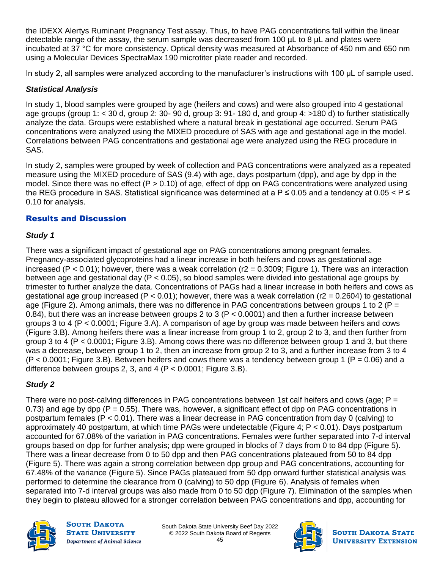the IDEXX Alertys Ruminant Pregnancy Test assay. Thus, to have PAG concentrations fall within the linear detectable range of the assay, the serum sample was decreased from 100 µL to 8 µL and plates were incubated at 37 °C for more consistency. Optical density was measured at Absorbance of 450 nm and 650 nm using a Molecular Devices SpectraMax 190 microtiter plate reader and recorded.

In study 2, all samples were analyzed according to the manufacturer's instructions with 100 μL of sample used.

#### *Statistical Analysis*

In study 1, blood samples were grouped by age (heifers and cows) and were also grouped into 4 gestational age groups (group 1: < 30 d, group 2: 30- 90 d, group 3: 91- 180 d, and group 4: >180 d) to further statistically analyze the data. Groups were established where a natural break in gestational age occurred. Serum PAG concentrations were analyzed using the MIXED procedure of SAS with age and gestational age in the model. Correlations between PAG concentrations and gestational age were analyzed using the REG procedure in SAS.

In study 2, samples were grouped by week of collection and PAG concentrations were analyzed as a repeated measure using the MIXED procedure of SAS (9.4) with age, days postpartum (dpp), and age by dpp in the model. Since there was no effect ( $P > 0.10$ ) of age, effect of dpp on PAG concentrations were analyzed using the REG procedure in SAS. Statistical significance was determined at a  $P \le 0.05$  and a tendency at 0.05 <  $P \le$ 0.10 for analysis.

#### Results and Discussion

#### *Study 1*

There was a significant impact of gestational age on PAG concentrations among pregnant females. Pregnancy-associated glycoproteins had a linear increase in both heifers and cows as gestational age increased (P < 0.01); however, there was a weak correlation (r2 = 0.3009; Figure 1). There was an interaction between age and gestational day ( $P < 0.05$ ), so blood samples were divided into gestational age groups by trimester to further analyze the data. Concentrations of PAGs had a linear increase in both heifers and cows as gestational age group increased (P < 0.01); however, there was a weak correlation (r2 = 0.2604) to gestational age (Figure 2). Among animals, there was no difference in PAG concentrations between groups 1 to 2 (P = 0.84), but there was an increase between groups 2 to 3 (P < 0.0001) and then a further increase between groups 3 to 4 (P < 0.0001; Figure 3.A). A comparison of age by group was made between heifers and cows (Figure 3.B). Among heifers there was a linear increase from group 1 to 2, group 2 to 3, and then further from group 3 to 4 (P < 0.0001; Figure 3.B). Among cows there was no difference between group 1 and 3, but there was a decrease, between group 1 to 2, then an increase from group 2 to 3, and a further increase from 3 to 4  $(P < 0.0001$ ; Figure 3.B). Between heifers and cows there was a tendency between group 1 ( $P = 0.06$ ) and a difference between groups 2, 3, and 4 ( $P < 0.0001$ ; Figure 3.B).

#### *Study 2*

There were no post-calving differences in PAG concentrations between 1st calf heifers and cows (age;  $P =$ 0.73) and age by dpp ( $P = 0.55$ ). There was, however, a significant effect of dpp on PAG concentrations in postpartum females (P < 0.01). There was a linear decrease in PAG concentration from day 0 (calving) to approximately 40 postpartum, at which time PAGs were undetectable (Figure 4; P < 0.01). Days postpartum accounted for 67.08% of the variation in PAG concentrations. Females were further separated into 7-d interval groups based on dpp for further analysis; dpp were grouped in blocks of 7 days from 0 to 84 dpp (Figure 5). There was a linear decrease from 0 to 50 dpp and then PAG concentrations plateaued from 50 to 84 dpp (Figure 5). There was again a strong correlation between dpp group and PAG concentrations, accounting for 67.48% of the variance (Figure 5). Since PAGs plateaued from 50 dpp onward further statistical analysis was performed to determine the clearance from 0 (calving) to 50 dpp (Figure 6). Analysis of females when separated into 7-d interval groups was also made from 0 to 50 dpp (Figure 7). Elimination of the samples when they begin to plateau allowed for a stronger correlation between PAG concentrations and dpp, accounting for



**SOUTH DAKOTA STATE UNIVERSITY** Department of Animal Science

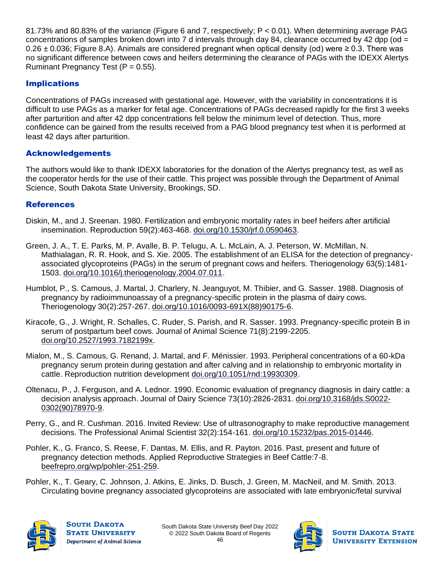81.73% and 80.83% of the variance (Figure 6 and 7, respectively; P < 0.01). When determining average PAG concentrations of samples broken down into 7 d intervals through day 84, clearance occurred by 42 dpp (od  $=$  $0.26 \pm 0.036$ ; Figure 8.A). Animals are considered pregnant when optical density (od) were  $\geq 0.3$ . There was no significant difference between cows and heifers determining the clearance of PAGs with the IDEXX Alertys Ruminant Pregnancy Test  $(P = 0.55)$ .

#### Implications

Concentrations of PAGs increased with gestational age. However, with the variability in concentrations it is difficult to use PAGs as a marker for fetal age. Concentrations of PAGs decreased rapidly for the first 3 weeks after parturition and after 42 dpp concentrations fell below the minimum level of detection. Thus, more confidence can be gained from the results received from a PAG blood pregnancy test when it is performed at least 42 days after parturition.

#### Acknowledgements

The authors would like to thank IDEXX laboratories for the donation of the Alertys pregnancy test, as well as the cooperator herds for the use of their cattle. This project was possible through the Department of Animal Science, South Dakota State University, Brookings, SD.

#### **References**

- Diskin, M., and J. Sreenan. 1980. Fertilization and embryonic mortality rates in beef heifers after artificial insemination. Reproduction 59(2):463-468. [doi.org/10.1530/jrf.0.0590463.](https://doi.org/10.1530/jrf.0.0590463)
- Green, J. A., T. E. Parks, M. P. Avalle, B. P. Telugu, A. L. McLain, A. J. Peterson, W. McMillan, N. Mathialagan, R. R. Hook, and S. Xie. 2005. The establishment of an ELISA for the detection of pregnancyassociated glycoproteins (PAGs) in the serum of pregnant cows and heifers. Theriogenology 63(5):1481- 1503. [doi.org/10.1016/j.theriogenology.2004.07.011.](https://doi.org/10.1016/j.theriogenology.2004.07.011)
- Humblot, P., S. Camous, J. Martal, J. Charlery, N. Jeanguyot, M. Thibier, and G. Sasser. 1988. Diagnosis of pregnancy by radioimmunoassay of a pregnancy-specific protein in the plasma of dairy cows. Theriogenology 30(2):257-267. [doi.org/10.1016/0093-691X\(88\)90175-6.](https://doi.org/10.1016/0093-691X(88)90175-6)
- Kiracofe, G., J. Wright, R. Schalles, C. Ruder, S. Parish, and R. Sasser. 1993. Pregnancy-specific protein B in serum of postpartum beef cows. Journal of Animal Science 71(8):2199-2205. [doi.org/10.2527/1993.7182199x.](https://doi.org/10.2527/1993.7182199x)
- Mialon, M., S. Camous, G. Renand, J. Martal, and F. Ménissier. 1993. Peripheral concentrations of a 60-kDa pregnancy serum protein during gestation and after calving and in relationship to embryonic mortality in cattle. Reproduction nutrition development [doi.org/10.1051/rnd:19930309.](https://doi.org/10.1051/rnd:19930309)
- Oltenacu, P., J. Ferguson, and A. Lednor. 1990. Economic evaluation of pregnancy diagnosis in dairy cattle: a decision analysis approach. Journal of Dairy Science 73(10):2826-2831. [doi.org/10.3168/jds.S0022-](https://doi.org/10.3168/jds.S0022-0302(90)78970-9) [0302\(90\)78970-9.](https://doi.org/10.3168/jds.S0022-0302(90)78970-9)
- Perry, G., and R. Cushman. 2016. Invited Review: Use of ultrasonography to make reproductive management decisions. The Professional Animal Scientist 32(2):154-161. doi.org[/10.15232/pas.2015-01446.](http://dx.doi.org/10.15232/pas.2015-01446)
- Pohler, K., G. Franco, S. Reese, F. Dantas, M. Ellis, and R. Payton. 2016. Past, present and future of pregnancy detection methods. Applied Reproductive Strategies in Beef Cattle:7-8. [beefrepro.org/wp/pohler-251-259.](http://beefrepro.org/wp-content/uploads/2020/09/21-pohler-251-259.pdf)
- Pohler, K., T. Geary, C. Johnson, J. Atkins, E. Jinks, D. Busch, J. Green, M. MacNeil, and M. Smith. 2013. Circulating bovine pregnancy associated glycoproteins are associated with late embryonic/fetal survival



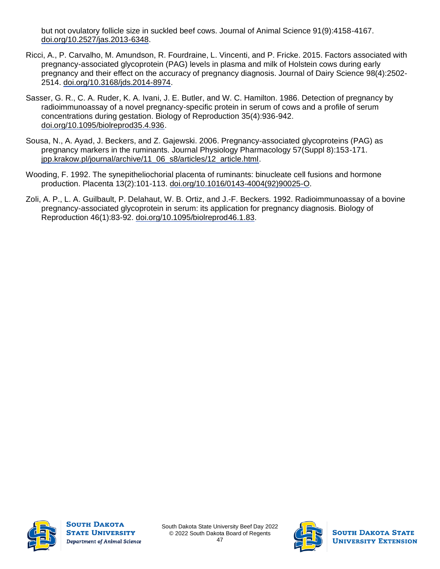but not ovulatory follicle size in suckled beef cows. Journal of Animal Science 91(9):4158-4167. [doi.org/10.2527/jas.2013-6348.](https://doi.org/10.2527/jas.2013-6348)

- Ricci, A., P. Carvalho, M. Amundson, R. Fourdraine, L. Vincenti, and P. Fricke. 2015. Factors associated with pregnancy-associated glycoprotein (PAG) levels in plasma and milk of Holstein cows during early pregnancy and their effect on the accuracy of pregnancy diagnosis. Journal of Dairy Science 98(4):2502- 2514. [doi.org/10.3168/jds.2014-8974.](https://doi.org/10.3168/jds.2014-8974)
- Sasser, G. R., C. A. Ruder, K. A. Ivani, J. E. Butler, and W. C. Hamilton. 1986. Detection of pregnancy by radioimmunoassay of a novel pregnancy-specific protein in serum of cows and a profile of serum concentrations during gestation. Biology of Reproduction 35(4):936-942. [doi.org/10.1095/biolreprod35.4.936.](https://doi.org/10.1095/biolreprod35.4.936)
- Sousa, N., A. Ayad, J. Beckers, and Z. Gajewski. 2006. Pregnancy-associated glycoproteins (PAG) as pregnancy markers in the ruminants. Journal Physiology Pharmacology 57(Suppl 8):153-171. [jpp.krakow.pl/journal/archive/11\\_06\\_s8/articles/12\\_article.html.](http://www.jpp.krakow.pl/journal/archive/11_06_s8/articles/12_article.html)
- Wooding, F. 1992. The synepitheliochorial placenta of ruminants: binucleate cell fusions and hormone production. Placenta 13(2):101-113. [doi.org/10.1016/0143-4004\(92\)90025-O.](https://doi.org/10.1016/0143-4004(92)90025-O)
- Zoli, A. P., L. A. Guilbault, P. Delahaut, W. B. Ortiz, and J.-F. Beckers. 1992. Radioimmunoassay of a bovine pregnancy-associated glycoprotein in serum: its application for pregnancy diagnosis. Biology of Reproduction 46(1):83-92. [doi.org/10.1095/biolreprod46.1.83.](https://doi.org/10.1095/biolreprod46.1.83)



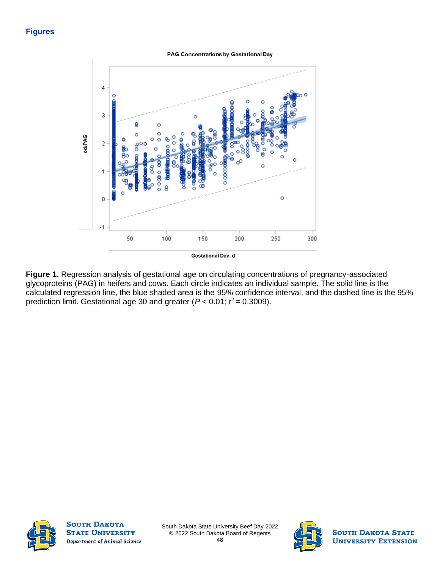#### **Figures**

PAG Concentrations by Gestational Day



**Figure 1.** Regression analysis of gestational age on circulating concentrations of pregnancy-associated glycoproteins (PAG) in heifers and cows. Each circle indicates an individual sample. The solid line is the calculated regression line, the blue shaded area is the 95% confidence interval, and the dashed line is the 95% prediction limit. Gestational age 30 and greater  $(P < 0.01; r^2 = 0.3009)$ .



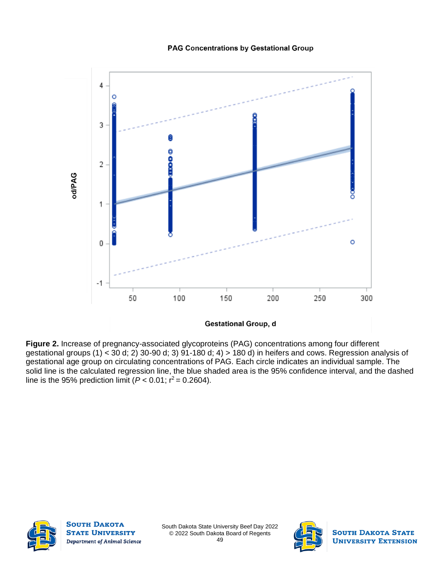#### **PAG Concentrations by Gestational Group**



**Gestational Group, d** 

**Figure 2.** Increase of pregnancy-associated glycoproteins (PAG) concentrations among four different gestational groups (1) < 30 d; 2) 30-90 d; 3) 91-180 d; 4) > 180 d) in heifers and cows. Regression analysis of gestational age group on circulating concentrations of PAG. Each circle indicates an individual sample. The solid line is the calculated regression line, the blue shaded area is the 95% confidence interval, and the dashed line is the 95% prediction limit ( $P < 0.01$ ;  $r^2 = 0.2604$ ).



**SOUTH DAKOTA STATE UNIVERSITY** Department of Animal Science

South Dakota State University Beef Day 2022 © 2022 South Dakota Board of Regents 49

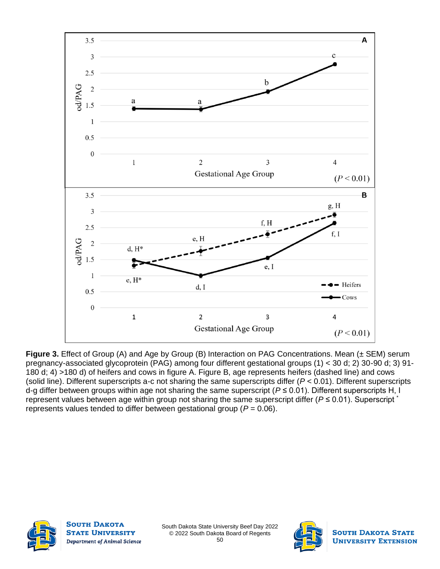

**Figure 3.** Effect of Group (A) and Age by Group (B) Interaction on PAG Concentrations. Mean (± SEM) serum pregnancy-associated glycoprotein (PAG) among four different gestational groups (1) < 30 d; 2) 30-90 d; 3) 91- 180 d; 4) >180 d) of heifers and cows in figure A. Figure B, age represents heifers (dashed line) and cows (solid line). Different superscripts a-c not sharing the same superscripts differ (*P* < 0.01). Different superscripts d-g differ between groups within age not sharing the same superscript (*P* ≤ 0.01). Different superscripts H, I represent values between age within group not sharing the same superscript differ (*P* ≤ 0.01). Superscript \* represents values tended to differ between gestational group (*P* = 0.06).



**SOUTH DAKOTA STATE UNIVERSITY** Department of Animal Science

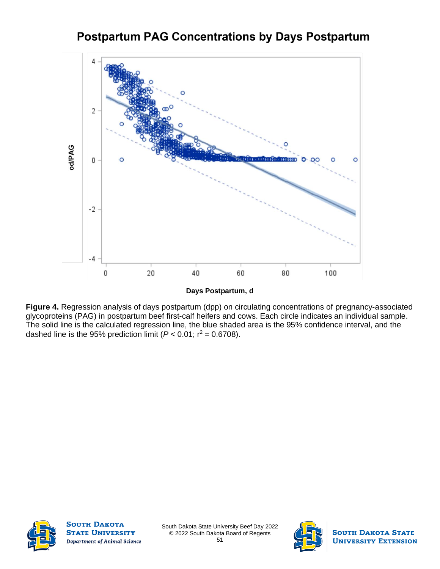## **Postpartum PAG Concentrations by Days Postpartum**



**Figure 4.** Regression analysis of days postpartum (dpp) on circulating concentrations of pregnancy-associated glycoproteins (PAG) in postpartum beef first-calf heifers and cows. Each circle indicates an individual sample. The solid line is the calculated regression line, the blue shaded area is the 95% confidence interval, and the dashed line is the 95% prediction limit  $(P < 0.01; r^2 = 0.6708)$ .



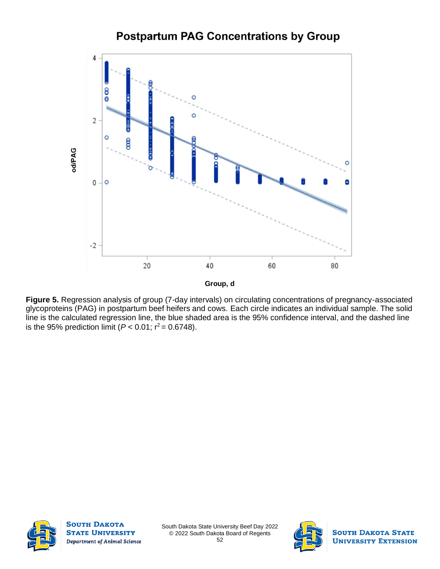### **Postpartum PAG Concentrations by Group**



**Group, d**

**Figure 5.** Regression analysis of group (7-day intervals) on circulating concentrations of pregnancy-associated glycoproteins (PAG) in postpartum beef heifers and cows. Each circle indicates an individual sample. The solid line is the calculated regression line, the blue shaded area is the 95% confidence interval, and the dashed line is the 95% prediction limit ( $P < 0.01$ ; r<sup>2</sup> = 0.6748).



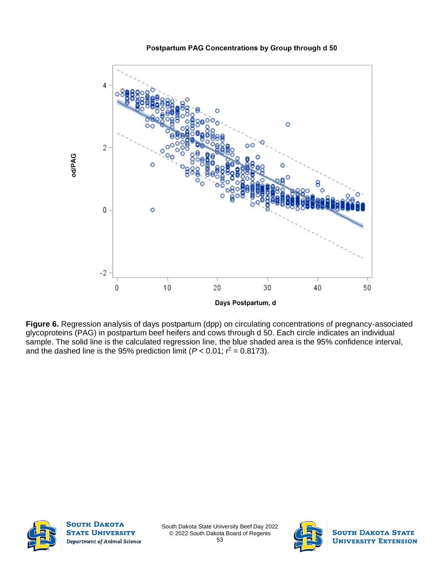#### Postpartum PAG Concentrations by Group through d 50



**Figure 6.** Regression analysis of days postpartum (dpp) on circulating concentrations of pregnancy-associated glycoproteins (PAG) in postpartum beef heifers and cows through d 50. Each circle indicates an individual sample. The solid line is the calculated regression line, the blue shaded area is the 95% confidence interval, and the dashed line is the 95% prediction limit  $(P < 0.01; r^2 = 0.8173)$ .



**SOUTH DAKOTA STATE UNIVERSITY** Department of Animal Science

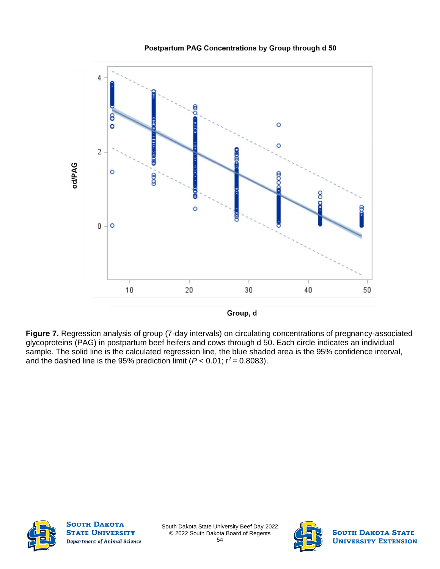

Postpartum PAG Concentrations by Group through d 50

**Figure 7.** Regression analysis of group (7-day intervals) on circulating concentrations of pregnancy-associated glycoproteins (PAG) in postpartum beef heifers and cows through d 50. Each circle indicates an individual sample. The solid line is the calculated regression line, the blue shaded area is the 95% confidence interval, and the dashed line is the 95% prediction limit  $(P < 0.01; r^2 = 0.8083)$ .